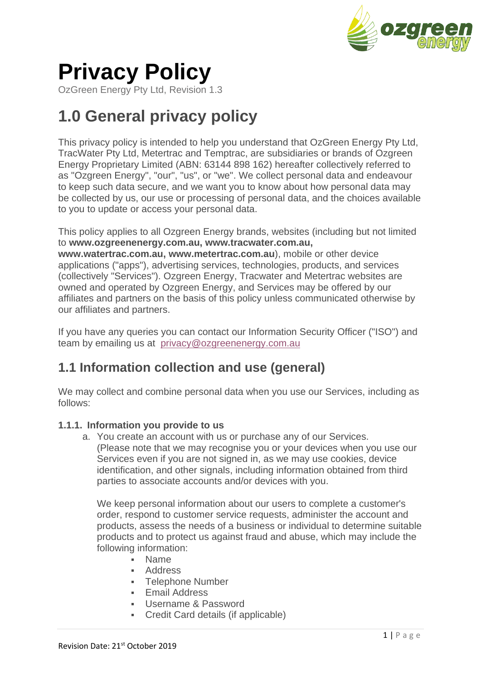

# **Privacy Policy**

OzGreen Energy Pty Ltd, Revision 1.3

## **1.0 General privacy policy**

This privacy policy is intended to help you understand that OzGreen Energy Pty Ltd, TracWater Pty Ltd, Metertrac and Temptrac, are subsidiaries or brands of Ozgreen Energy Proprietary Limited (ABN: 63144 898 162) hereafter collectively referred to as "Ozgreen Energy", "our", "us", or "we". We collect personal data and endeavour to keep such data secure, and we want you to know about how personal data may be collected by us, our use or processing of personal data, and the choices available to you to update or access your personal data.

This policy applies to all Ozgreen Energy brands, websites (including but not limited to **www.ozgreenenergy.com.au, www.tracwater.com.au, www.watertrac.com.au, www.metertrac.com.au**), mobile or other device applications ("apps"), advertising services, technologies, products, and services (collectively "Services"). Ozgreen Energy, Tracwater and Metertrac websites are owned and operated by Ozgreen Energy, and Services may be offered by our affiliates and partners on the basis of this policy unless communicated otherwise by

If you have any queries you can contact our Information Security Officer ("ISO") and team by emailing us at [privacy@ozgreenenergy.com.au](mailto:privacy@ozgreenenergy.com.au)

### **1.1 Information collection and use (general)**

We may collect and combine personal data when you use our Services, including as follows:

#### **1.1.1. Information you provide to us**

our affiliates and partners.

a. You create an account with us or purchase any of our Services. (Please note that we may recognise you or your devices when you use our Services even if you are not signed in, as we may use cookies, device identification, and other signals, including information obtained from third parties to associate accounts and/or devices with you.

We keep personal information about our users to complete a customer's order, respond to customer service requests, administer the account and products, assess the needs of a business or individual to determine suitable products and to protect us against fraud and abuse, which may include the following information:

- Name
- Address
- **Telephone Number**
- Email Address
- Username & Password
- Credit Card details (if applicable)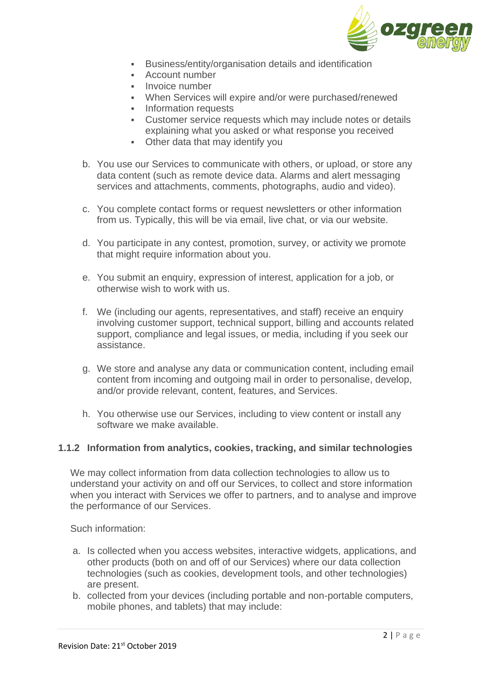

- Business/entity/organisation details and identification
- Account number
- **·** Invoice number
- When Services will expire and/or were purchased/renewed
- **•** Information requests
- Customer service requests which may include notes or details explaining what you asked or what response you received
- Other data that may identify you
- b. You use our Services to communicate with others, or upload, or store any data content (such as remote device data. Alarms and alert messaging services and attachments, comments, photographs, audio and video).
- c. You complete contact forms or request newsletters or other information from us. Typically, this will be via email, live chat, or via our website.
- d. You participate in any contest, promotion, survey, or activity we promote that might require information about you.
- e. You submit an enquiry, expression of interest, application for a job, or otherwise wish to work with us.
- f. We (including our agents, representatives, and staff) receive an enquiry involving customer support, technical support, billing and accounts related support, compliance and legal issues, or media, including if you seek our assistance.
- g. We store and analyse any data or communication content, including email content from incoming and outgoing mail in order to personalise, develop, and/or provide relevant, content, features, and Services.
- h. You otherwise use our Services, including to view content or install any software we make available.

#### **1.1.2 Information from analytics, cookies, tracking, and similar technologies**

We may collect information from data collection technologies to allow us to understand your activity on and off our Services, to collect and store information when you interact with Services we offer to partners, and to analyse and improve the performance of our Services.

Such information:

- a. Is collected when you access websites, interactive widgets, applications, and other products (both on and off of our Services) where our data collection technologies (such as cookies, development tools, and other technologies) are present.
- b. collected from your devices (including portable and non-portable computers, mobile phones, and tablets) that may include: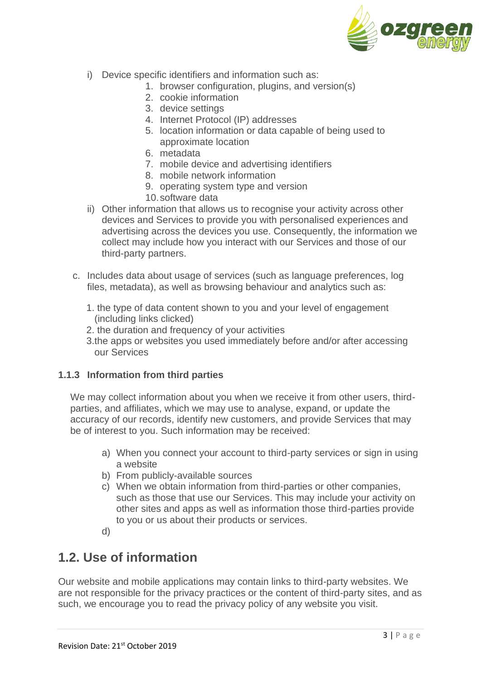

- i) Device specific identifiers and information such as:
	- 1. browser configuration, plugins, and version(s)
	- 2. cookie information
	- 3. device settings
	- 4. Internet Protocol (IP) addresses
	- 5. location information or data capable of being used to approximate location
	- 6. metadata
	- 7. mobile device and advertising identifiers
	- 8. mobile network information
	- 9. operating system type and version
	- 10.software data
- ii) Other information that allows us to recognise your activity across other devices and Services to provide you with personalised experiences and advertising across the devices you use. Consequently, the information we collect may include how you interact with our Services and those of our third-party partners.
- c. Includes data about usage of services (such as language preferences, log files, metadata), as well as browsing behaviour and analytics such as:
	- 1. the type of data content shown to you and your level of engagement (including links clicked)
	- 2. the duration and frequency of your activities
	- 3.the apps or websites you used immediately before and/or after accessing our Services

#### **1.1.3 Information from third parties**

We may collect information about you when we receive it from other users, thirdparties, and affiliates, which we may use to analyse, expand, or update the accuracy of our records, identify new customers, and provide Services that may be of interest to you. Such information may be received:

- a) When you connect your account to third-party services or sign in using a website
- b) From publicly-available sources
- c) When we obtain information from third-parties or other companies, such as those that use our Services. This may include your activity on other sites and apps as well as information those third-parties provide to you or us about their products or services.
- d)

### **1.2. Use of information**

Our website and mobile applications may contain links to third-party websites. We are not responsible for the privacy practices or the content of third-party sites, and as such, we encourage you to read the privacy policy of any website you visit.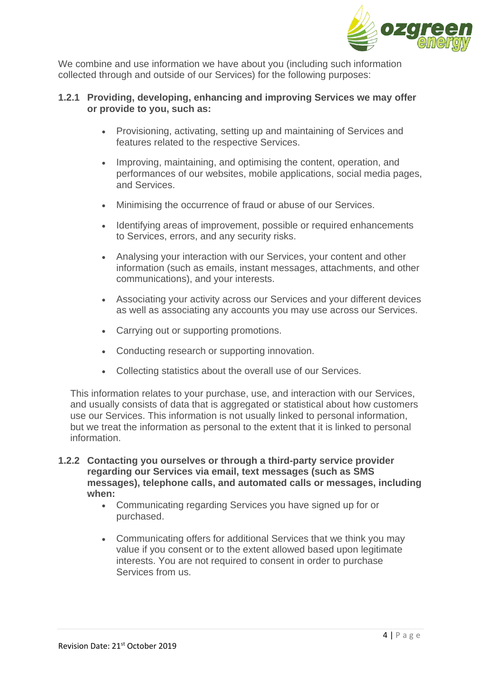

We combine and use information we have about you (including such information collected through and outside of our Services) for the following purposes:

#### **1.2.1 Providing, developing, enhancing and improving Services we may offer or provide to you, such as:**

- Provisioning, activating, setting up and maintaining of Services and features related to the respective Services.
- Improving, maintaining, and optimising the content, operation, and performances of our websites, mobile applications, social media pages, and Services.
- Minimising the occurrence of fraud or abuse of our Services.
- Identifying areas of improvement, possible or required enhancements to Services, errors, and any security risks.
- Analysing your interaction with our Services, your content and other information (such as emails, instant messages, attachments, and other communications), and your interests.
- Associating your activity across our Services and your different devices as well as associating any accounts you may use across our Services.
- Carrying out or supporting promotions.
- Conducting research or supporting innovation.
- Collecting statistics about the overall use of our Services.

This information relates to your purchase, use, and interaction with our Services, and usually consists of data that is aggregated or statistical about how customers use our Services. This information is not usually linked to personal information, but we treat the information as personal to the extent that it is linked to personal information.

- **1.2.2 Contacting you ourselves or through a third-party service provider regarding our Services via email, text messages (such as SMS messages), telephone calls, and automated calls or messages, including when:**
	- Communicating regarding Services you have signed up for or purchased.
	- Communicating offers for additional Services that we think you may value if you consent or to the extent allowed based upon legitimate interests. You are not required to consent in order to purchase Services from us.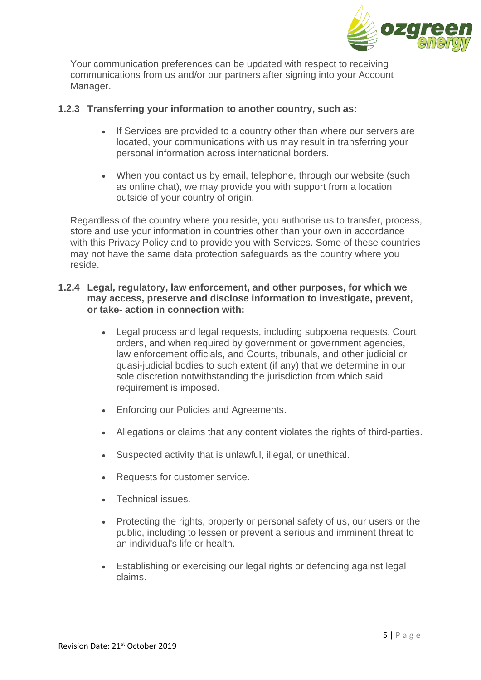

Your communication preferences can be updated with respect to receiving communications from us and/or our partners after signing into your Account Manager.

#### **1.2.3 Transferring your information to another country, such as:**

- If Services are provided to a country other than where our servers are located, your communications with us may result in transferring your personal information across international borders.
- When you contact us by email, telephone, through our website (such as online chat), we may provide you with support from a location outside of your country of origin.

Regardless of the country where you reside, you authorise us to transfer, process, store and use your information in countries other than your own in accordance with this Privacy Policy and to provide you with Services. Some of these countries may not have the same data protection safeguards as the country where you reside.

#### **1.2.4 Legal, regulatory, law enforcement, and other purposes, for which we may access, preserve and disclose information to investigate, prevent, or take- action in connection with:**

- Legal process and legal requests, including subpoena requests, Court orders, and when required by government or government agencies, law enforcement officials, and Courts, tribunals, and other judicial or quasi-judicial bodies to such extent (if any) that we determine in our sole discretion notwithstanding the jurisdiction from which said requirement is imposed.
- Enforcing our Policies and Agreements.
- Allegations or claims that any content violates the rights of third-parties.
- Suspected activity that is unlawful, illegal, or unethical.
- Requests for customer service.
- Technical issues.
- Protecting the rights, property or personal safety of us, our users or the public, including to lessen or prevent a serious and imminent threat to an individual's life or health.
- Establishing or exercising our legal rights or defending against legal claims.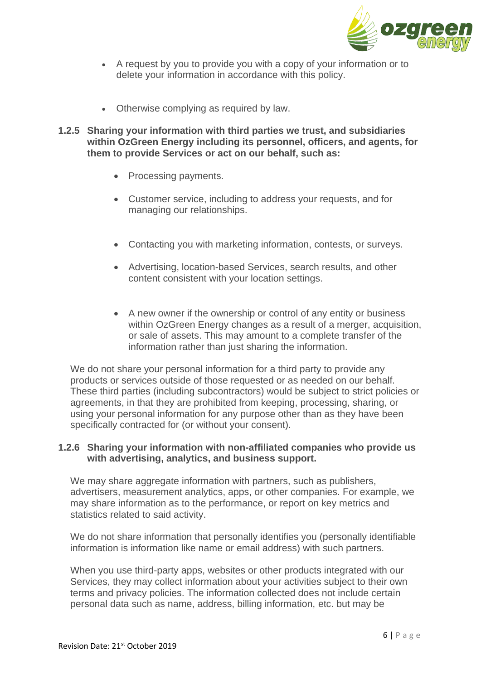

- A request by you to provide you with a copy of your information or to delete your information in accordance with this policy.
- Otherwise complying as required by law.
- **1.2.5 Sharing your information with third parties we trust, and subsidiaries within OzGreen Energy including its personnel, officers, and agents, for them to provide Services or act on our behalf, such as:**
	- Processing payments.
	- Customer service, including to address your requests, and for managing our relationships.
	- Contacting you with marketing information, contests, or surveys.
	- Advertising, location-based Services, search results, and other content consistent with your location settings.
	- A new owner if the ownership or control of any entity or business within OzGreen Energy changes as a result of a merger, acquisition, or sale of assets. This may amount to a complete transfer of the information rather than just sharing the information.

We do not share your personal information for a third party to provide any products or services outside of those requested or as needed on our behalf. These third parties (including subcontractors) would be subject to strict policies or agreements, in that they are prohibited from keeping, processing, sharing, or using your personal information for any purpose other than as they have been specifically contracted for (or without your consent).

#### **1.2.6 Sharing your information with non-affiliated companies who provide us with advertising, analytics, and business support.**

We may share aggregate information with partners, such as publishers, advertisers, measurement analytics, apps, or other companies. For example, we may share information as to the performance, or report on key metrics and statistics related to said activity.

We do not share information that personally identifies you (personally identifiable information is information like name or email address) with such partners.

When you use third-party apps, websites or other products integrated with our Services, they may collect information about your activities subject to their own terms and privacy policies. The information collected does not include certain personal data such as name, address, billing information, etc. but may be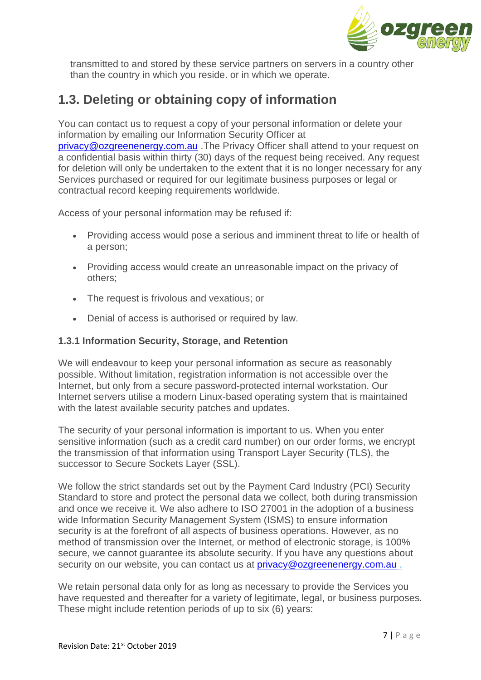

transmitted to and stored by these service partners on servers in a country other than the country in which you reside. or in which we operate.

### **1.3. Deleting or obtaining copy of information**

You can contact us to request a copy of your personal information or delete your information by emailing our Information Security Officer at [privacy@ozgreenenergy.com.au](mailto:privacy@ozgreenenergy.com.au) .The Privacy Officer shall attend to your request on a confidential basis within thirty (30) days of the request being received. Any request for deletion will only be undertaken to the extent that it is no longer necessary for any Services purchased or required for our legitimate business purposes or legal or contractual record keeping requirements worldwide.

Access of your personal information may be refused if:

- Providing access would pose a serious and imminent threat to life or health of a person;
- Providing access would create an unreasonable impact on the privacy of others;
- The request is frivolous and vexatious; or
- Denial of access is authorised or required by law.

#### **1.3.1 Information Security, Storage, and Retention**

We will endeavour to keep your personal information as secure as reasonably possible. Without limitation, registration information is not accessible over the Internet, but only from a secure password-protected internal workstation. Our Internet servers utilise a modern Linux-based operating system that is maintained with the latest available security patches and updates.

The security of your personal information is important to us. When you enter sensitive information (such as a credit card number) on our order forms, we encrypt the transmission of that information using Transport Layer Security (TLS), the successor to Secure Sockets Layer (SSL).

We follow the strict standards set out by the Payment Card Industry (PCI) Security Standard to store and protect the personal data we collect, both during transmission and once we receive it. We also adhere to ISO 27001 in the adoption of a business wide Information Security Management System (ISMS) to ensure information security is at the forefront of all aspects of business operations. However, as no method of transmission over the Internet, or method of electronic storage, is 100% secure, we cannot guarantee its absolute security. If you have any questions about security on our website, you can contact us at [privacy@ozgreenenergy.com.au](mailto:privacy@ozgreenenergy.com.au).

We retain personal data only for as long as necessary to provide the Services you have requested and thereafter for a variety of legitimate, legal, or business purposes. These might include retention periods of up to six (6) years: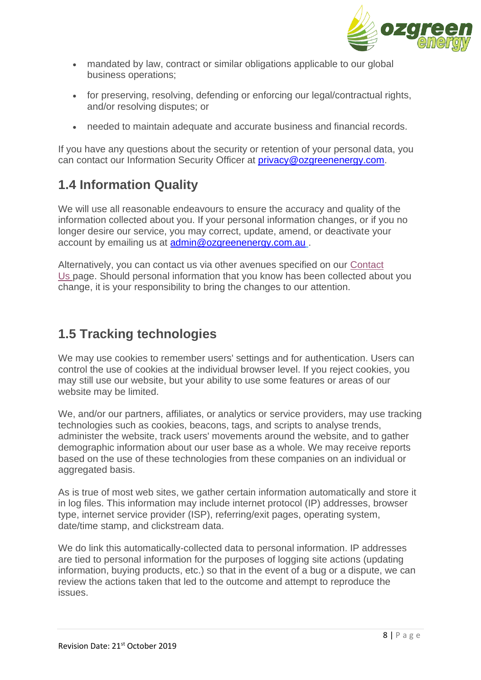

- mandated by law, contract or similar obligations applicable to our global business operations;
- for preserving, resolving, defending or enforcing our legal/contractual rights, and/or resolving disputes; or
- needed to maintain adequate and accurate business and financial records.

If you have any questions about the security or retention of your personal data, you can contact our Information Security Officer at [privacy@ozgreenenergy.com.](mailto:privacy@ozgreenenergy.com)

### **1.4 Information Quality**

We will use all reasonable endeavours to ensure the accuracy and quality of the information collected about you. If your personal information changes, or if you no longer desire our service, you may correct, update, amend, or deactivate your account by emailing us at [admin@ozgreenenergy.com.au](mailto:admin@ozgreenenergy.com.au).

Alternatively, you can contact us via other avenues specified on our [Contact](https://www.tracwater.com.au/contact-us)  [Us](https://www.tracwater.com.au/contact-us) page. Should personal information that you know has been collected about you change, it is your responsibility to bring the changes to our attention.

### **1.5 Tracking technologies**

We may use cookies to remember users' settings and for authentication. Users can control the use of cookies at the individual browser level. If you reject cookies, you may still use our website, but your ability to use some features or areas of our website may be limited.

We, and/or our partners, affiliates, or analytics or service providers, may use tracking technologies such as cookies, beacons, tags, and scripts to analyse trends, administer the website, track users' movements around the website, and to gather demographic information about our user base as a whole. We may receive reports based on the use of these technologies from these companies on an individual or aggregated basis.

As is true of most web sites, we gather certain information automatically and store it in log files. This information may include internet protocol (IP) addresses, browser type, internet service provider (ISP), referring/exit pages, operating system, date/time stamp, and clickstream data.

We do link this automatically-collected data to personal information. IP addresses are tied to personal information for the purposes of logging site actions (updating information, buying products, etc.) so that in the event of a bug or a dispute, we can review the actions taken that led to the outcome and attempt to reproduce the issues.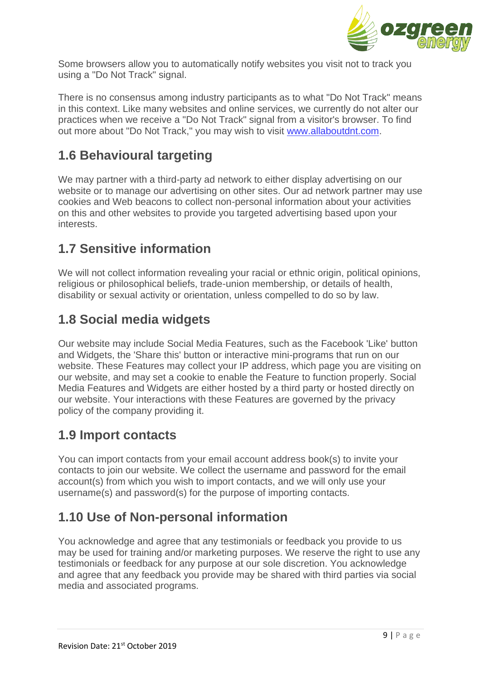

Some browsers allow you to automatically notify websites you visit not to track you using a "Do Not Track" signal.

There is no consensus among industry participants as to what "Do Not Track" means in this context. Like many websites and online services, we currently do not alter our practices when we receive a "Do Not Track" signal from a visitor's browser. To find out more about "Do Not Track," you may wish to visit [www.allaboutdnt.com.](http://www.allaboutdnt.com/)

### **1.6 Behavioural targeting**

We may partner with a third-party ad network to either display advertising on our website or to manage our advertising on other sites. Our ad network partner may use cookies and Web beacons to collect non-personal information about your activities on this and other websites to provide you targeted advertising based upon your interests.

### **1.7 Sensitive information**

We will not collect information revealing your racial or ethnic origin, political opinions, religious or philosophical beliefs, trade-union membership, or details of health, disability or sexual activity or orientation, unless compelled to do so by law.

### **1.8 Social media widgets**

Our website may include Social Media Features, such as the Facebook 'Like' button and Widgets, the 'Share this' button or interactive mini-programs that run on our website. These Features may collect your IP address, which page you are visiting on our website, and may set a cookie to enable the Feature to function properly. Social Media Features and Widgets are either hosted by a third party or hosted directly on our website. Your interactions with these Features are governed by the privacy policy of the company providing it.

### **1.9 Import contacts**

You can import contacts from your email account address book(s) to invite your contacts to join our website. We collect the username and password for the email account(s) from which you wish to import contacts, and we will only use your username(s) and password(s) for the purpose of importing contacts.

### **1.10 Use of Non-personal information**

You acknowledge and agree that any testimonials or feedback you provide to us may be used for training and/or marketing purposes. We reserve the right to use any testimonials or feedback for any purpose at our sole discretion. You acknowledge and agree that any feedback you provide may be shared with third parties via social media and associated programs.